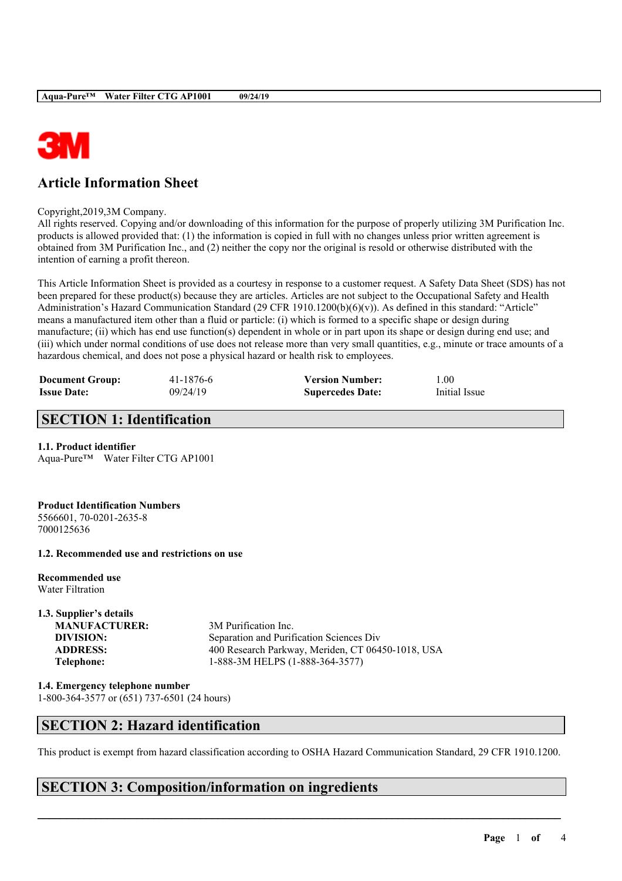

## **Article Information Sheet**

Copyright,2019,3M Company.

All rights reserved. Copying and/or downloading of this information for the purpose of properly utilizing 3M Purification Inc. products is allowed provided that: (1) the information is copied in full with no changes unless prior written agreement is obtained from 3M Purification Inc., and (2) neither the copy nor the original is resold or otherwise distributed with the intention of earning a profit thereon.

This Article Information Sheet is provided as a courtesy in response to a customer request. A Safety Data Sheet (SDS) has not been prepared for these product(s) because they are articles. Articles are not subject to the Occupational Safety and Health Administration's Hazard Communication Standard (29 CFR 1910.1200(b)(6)(v)). As defined in this standard: "Article" means a manufactured item other than a fluid or particle: (i) which is formed to a specific shape or design during manufacture; (ii) which has end use function(s) dependent in whole or in part upon its shape or design during end use; and (iii) which under normal conditions of use does not release more than very small quantities, e.g., minute or trace amounts of a hazardous chemical, and does not pose a physical hazard or health risk to employees.

| <b>Document Group:</b> | 41-1876-6 | <b>Version Number:</b>  | l.00          |
|------------------------|-----------|-------------------------|---------------|
| <b>Issue Date:</b>     | 09/24/19  | <b>Supercedes Date:</b> | Initial Issue |

## **SECTION 1: Identification**

#### **1.1. Product identifier**

Aqua-Pure™ Water Filter CTG AP1001

#### **Product Identification Numbers**

5566601, 70-0201-2635-8 7000125636

#### **1.2. Recommended use and restrictions on use**

**Recommended use** Water Filtration

# **1.3. Supplier's details MANUFACTURER:** 3M Purification Inc.

**DIVISION:** Separation and Purification Sciences Div **ADDRESS:** 400 Research Parkway, Meriden, CT 06450-1018, USA **Telephone:** 1-888-3M HELPS (1-888-364-3577)

**1.4. Emergency telephone number** 1-800-364-3577 or (651) 737-6501 (24 hours)

## **SECTION 2: Hazard identification**

This product is exempt from hazard classification according to OSHA Hazard Communication Standard, 29 CFR 1910.1200.

 $\mathcal{L}_\mathcal{L} = \mathcal{L}_\mathcal{L} = \mathcal{L}_\mathcal{L} = \mathcal{L}_\mathcal{L} = \mathcal{L}_\mathcal{L} = \mathcal{L}_\mathcal{L} = \mathcal{L}_\mathcal{L} = \mathcal{L}_\mathcal{L} = \mathcal{L}_\mathcal{L} = \mathcal{L}_\mathcal{L} = \mathcal{L}_\mathcal{L} = \mathcal{L}_\mathcal{L} = \mathcal{L}_\mathcal{L} = \mathcal{L}_\mathcal{L} = \mathcal{L}_\mathcal{L} = \mathcal{L}_\mathcal{L} = \mathcal{L}_\mathcal{L}$ 

## **SECTION 3: Composition/information on ingredients**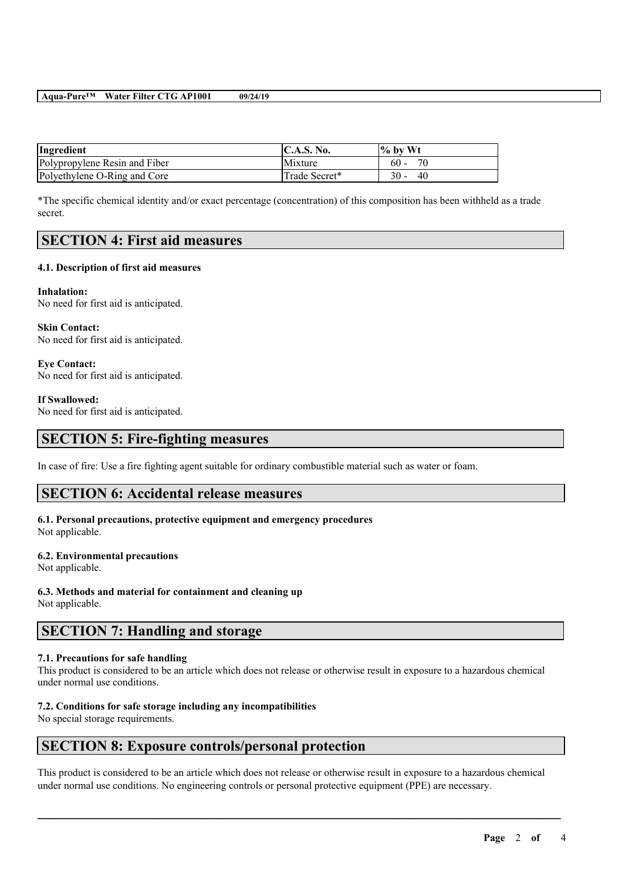#### **Aqua-Pure™ Water Filter CTG AP1001 09/24/19**

| Ingredient                    | C.A.S. No.    | $\%$ by Wt   |
|-------------------------------|---------------|--------------|
| Polypropylene Resin and Fiber | Mixture       | 70<br>$60 -$ |
| Polyethylene O-Ring and Core  | Trade Secret* | $30 -$<br>40 |

\*The specific chemical identity and/or exact percentage (concentration) of this composition has been withheld as a trade secret.

### **SECTION 4: First aid measures**

#### **4.1. Description of first aid measures**

**Inhalation:** No need for first aid is anticipated.

**Skin Contact:** No need for first aid is anticipated.

**Eye Contact:** No need for first aid is anticipated.

**If Swallowed:**

No need for first aid is anticipated.

#### **SECTION 5: Fire-fighting measures**

In case of fire: Use a fire fighting agent suitable for ordinary combustible material such as water or foam.

#### **SECTION 6: Accidental release measures**

## **6.1. Personal precautions, protective equipment and emergency procedures**

Not applicable.

#### **6.2. Environmental precautions**

Not applicable.

**6.3. Methods and material for containment and cleaning up** Not applicable.

## **SECTION 7: Handling and storage**

#### **7.1. Precautions for safe handling**

This product is considered to be an article which does not release or otherwise result in exposure to a hazardous chemical under normal use conditions.

#### **7.2. Conditions for safe storage including any incompatibilities**

No special storage requirements.

## **SECTION 8: Exposure controls/personal protection**

This product is considered to be an article which does not release or otherwise result in exposure to a hazardous chemical under normal use conditions. No engineering controls or personal protective equipment (PPE) are necessary.

 $\mathcal{L}_\mathcal{L} = \mathcal{L}_\mathcal{L} = \mathcal{L}_\mathcal{L} = \mathcal{L}_\mathcal{L} = \mathcal{L}_\mathcal{L} = \mathcal{L}_\mathcal{L} = \mathcal{L}_\mathcal{L} = \mathcal{L}_\mathcal{L} = \mathcal{L}_\mathcal{L} = \mathcal{L}_\mathcal{L} = \mathcal{L}_\mathcal{L} = \mathcal{L}_\mathcal{L} = \mathcal{L}_\mathcal{L} = \mathcal{L}_\mathcal{L} = \mathcal{L}_\mathcal{L} = \mathcal{L}_\mathcal{L} = \mathcal{L}_\mathcal{L}$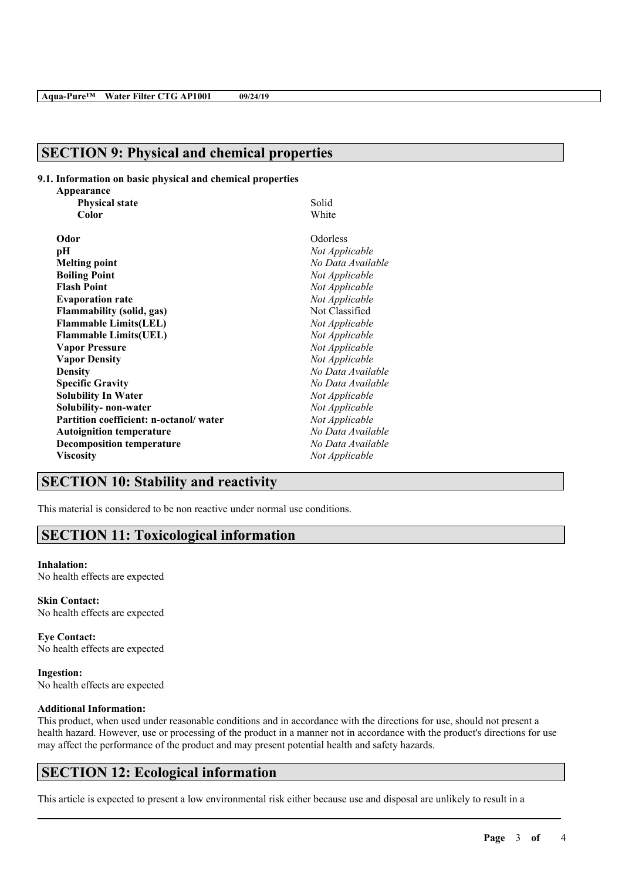## **SECTION 9: Physical and chemical properties**

#### **9.1. Information on basic physical and chemical properties**

| Appearance                             |                   |
|----------------------------------------|-------------------|
| <b>Physical state</b>                  | Solid             |
| Color                                  | White             |
| Odor                                   | Odorless          |
| рH                                     | Not Applicable    |
| <b>Melting point</b>                   | No Data Available |
| <b>Boiling Point</b>                   | Not Applicable    |
| <b>Flash Point</b>                     | Not Applicable    |
| <b>Evaporation rate</b>                | Not Applicable    |
| <b>Flammability (solid, gas)</b>       | Not Classified    |
| <b>Flammable Limits(LEL)</b>           | Not Applicable    |
| <b>Flammable Limits(UEL)</b>           | Not Applicable    |
| <b>Vapor Pressure</b>                  | Not Applicable    |
| <b>Vapor Density</b>                   | Not Applicable    |
| <b>Density</b>                         | No Data Available |
| <b>Specific Gravity</b>                | No Data Available |
| <b>Solubility In Water</b>             | Not Applicable    |
| Solubility- non-water                  | Not Applicable    |
| Partition coefficient: n-octanol/water | Not Applicable    |
| <b>Autoignition temperature</b>        | No Data Available |
| <b>Decomposition temperature</b>       | No Data Available |
| <b>Viscosity</b>                       | Not Applicable    |

## **SECTION 10: Stability and reactivity**

This material is considered to be non reactive under normal use conditions.

## **SECTION 11: Toxicological information**

#### **Inhalation:**

No health effects are expected

**Skin Contact:** No health effects are expected

**Eye Contact:** No health effects are expected

**Ingestion:** No health effects are expected

#### **Additional Information:**

This product, when used under reasonable conditions and in accordance with the directions for use, should not present a health hazard. However, use or processing of the product in a manner not in accordance with the product's directions for use may affect the performance of the product and may present potential health and safety hazards.

 $\mathcal{L}_\mathcal{L} = \mathcal{L}_\mathcal{L} = \mathcal{L}_\mathcal{L} = \mathcal{L}_\mathcal{L} = \mathcal{L}_\mathcal{L} = \mathcal{L}_\mathcal{L} = \mathcal{L}_\mathcal{L} = \mathcal{L}_\mathcal{L} = \mathcal{L}_\mathcal{L} = \mathcal{L}_\mathcal{L} = \mathcal{L}_\mathcal{L} = \mathcal{L}_\mathcal{L} = \mathcal{L}_\mathcal{L} = \mathcal{L}_\mathcal{L} = \mathcal{L}_\mathcal{L} = \mathcal{L}_\mathcal{L} = \mathcal{L}_\mathcal{L}$ 

## **SECTION 12: Ecological information**

This article is expected to present a low environmental risk either because use and disposal are unlikely to result in a